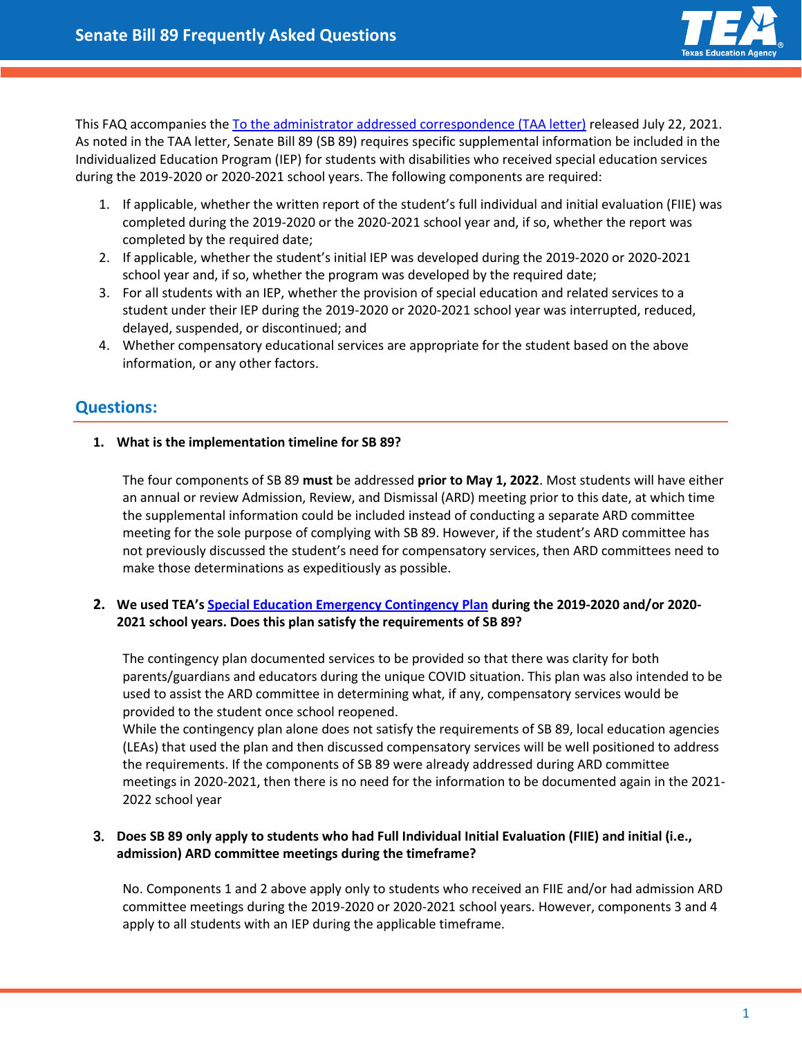

This FAQ accompanies th[e To the administrator addressed correspondence \(TAA letter\)](https://tea.texas.gov/about-tea/news-and-multimedia/correspondence/taa-letters/senate-bill-89-implementation-overview) released July 22, 2021. As noted in the TAA letter, Senate Bill 89 (SB 89) requires specific supplemental information be included in the Individualized Education Program (IEP) for students with disabilities who received special education services during the 2019-2020 or 2020-2021 school years. The following components are required:

- 1. If applicable, whether the written report of the student's full individual and initial evaluation (FIIE) was completed during the 2019-2020 or the 2020-2021 school year and, if so, whether the report was completed by the required date;
- 2. If applicable, whether the student's initial IEP was developed during the 2019-2020 or 2020-2021 school year and, if so, whether the program was developed by the required date;
- 3. For all students with an IEP, whether the provision of special education and related services to a student under their IEP during the 2019-2020 or 2020-2021 school year was interrupted, reduced, delayed, suspended, or discontinued; and
- 4. Whether compensatory educational services are appropriate for the student based on the above information, or any other factors.

# **Questions:**

### **1. What is the implementation timeline for SB 89?**

The four components of SB 89 **must** be addressed **prior to May 1, 2022**. Most students will have either an annual or review Admission, Review, and Dismissal (ARD) meeting prior to this date, at which time the supplemental information could be included instead of conducting a separate ARD committee meeting for the sole purpose of complying with SB 89. However, if the student's ARD committee has not previously discussed the student's need for compensatory services, then ARD committees need to make those determinations as expeditiously as possible.

### **2. We used TEA's [Special Education Emergency Contingency Plan](https://tea.texas.gov/sites/default/files/covid/covid-19_sped_emergency_contingency_form_pdf_fillable.pdf) during the 2019-2020 and/or 2020- 2021 school years. Does this plan satisfy the requirements of SB 89?**

The contingency plan documented services to be provided so that there was clarity for both parents/guardians and educators during the unique COVID situation. This plan was also intended to be used to assist the ARD committee in determining what, if any, compensatory services would be provided to the student once school reopened.

While the contingency plan alone does not satisfy the requirements of SB 89, local education agencies (LEAs) that used the plan and then discussed compensatory services will be well positioned to address the requirements. If the components of SB 89 were already addressed during ARD committee meetings in 2020-2021, then there is no need for the information to be documented again in the 2021- 2022 school year

## 3. **Does SB 89 only apply to students who had Full Individual Initial Evaluation (FIIE) and initial (i.e., admission) ARD committee meetings during the timeframe?**

No. Components 1 and 2 above apply only to students who received an FIIE and/or had admission ARD committee meetings during the 2019-2020 or 2020-2021 school years. However, components 3 and 4 apply to all students with an IEP during the applicable timeframe.